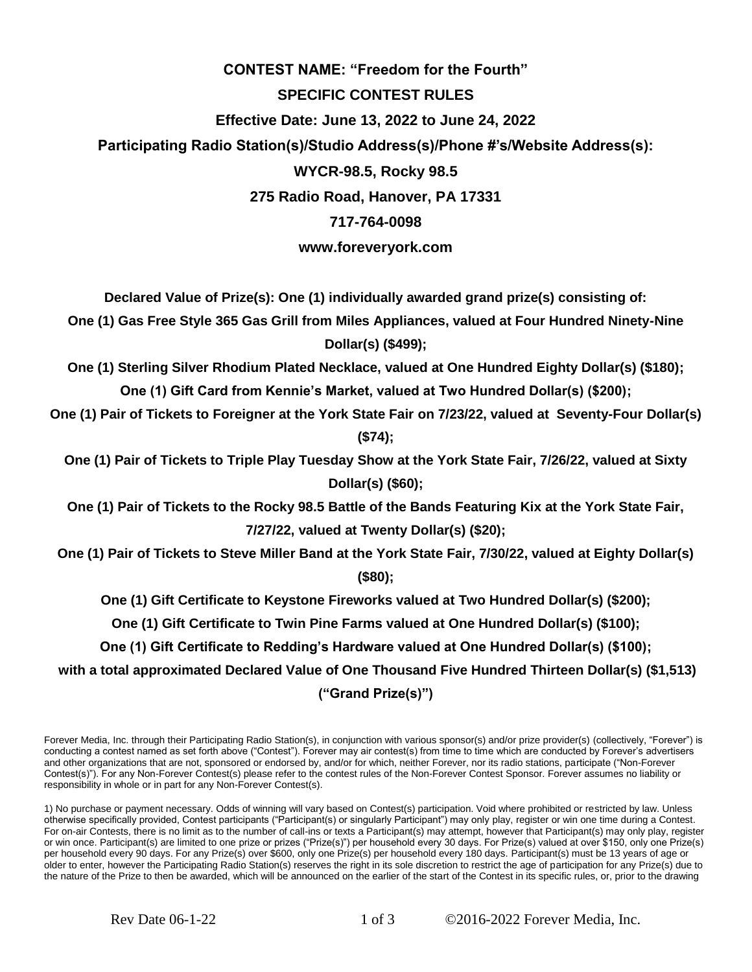## **CONTEST NAME: "Freedom for the Fourth" SPECIFIC CONTEST RULES Effective Date: June 13, 2022 to June 24, 2022 Participating Radio Station(s)/Studio Address(s)/Phone #'s/Website Address(s): WYCR-98.5, Rocky 98.5 275 Radio Road, Hanover, PA 17331 717-764-0098 www.foreveryork.com**

**Declared Value of Prize(s): One (1) individually awarded grand prize(s) consisting of:** 

**One (1) Gas Free Style 365 Gas Grill from Miles Appliances, valued at Four Hundred Ninety-Nine Dollar(s) (\$499);**

**One (1) Sterling Silver Rhodium Plated Necklace, valued at One Hundred Eighty Dollar(s) (\$180); One (1) Gift Card from Kennie's Market, valued at Two Hundred Dollar(s) (\$200);**

**One (1) Pair of Tickets to Foreigner at the York State Fair on 7/23/22, valued at Seventy-Four Dollar(s) (\$74);**

**One (1) Pair of Tickets to Triple Play Tuesday Show at the York State Fair, 7/26/22, valued at Sixty Dollar(s) (\$60);**

**One (1) Pair of Tickets to the Rocky 98.5 Battle of the Bands Featuring Kix at the York State Fair, 7/27/22, valued at Twenty Dollar(s) (\$20);**

**One (1) Pair of Tickets to Steve Miller Band at the York State Fair, 7/30/22, valued at Eighty Dollar(s) (\$80);**

**One (1) Gift Certificate to Keystone Fireworks valued at Two Hundred Dollar(s) (\$200);**

**One (1) Gift Certificate to Twin Pine Farms valued at One Hundred Dollar(s) (\$100);**

**One (1) Gift Certificate to Redding's Hardware valued at One Hundred Dollar(s) (\$100);**

**with a total approximated Declared Value of One Thousand Five Hundred Thirteen Dollar(s) (\$1,513) ("Grand Prize(s)")** 

Forever Media, Inc. through their Participating Radio Station(s), in conjunction with various sponsor(s) and/or prize provider(s) (collectively, "Forever") is conducting a contest named as set forth above ("Contest"). Forever may air contest(s) from time to time which are conducted by Forever's advertisers and other organizations that are not, sponsored or endorsed by, and/or for which, neither Forever, nor its radio stations, participate ("Non-Forever Contest(s)"). For any Non-Forever Contest(s) please refer to the contest rules of the Non-Forever Contest Sponsor. Forever assumes no liability or responsibility in whole or in part for any Non-Forever Contest(s).

1) No purchase or payment necessary. Odds of winning will vary based on Contest(s) participation. Void where prohibited or restricted by law. Unless otherwise specifically provided, Contest participants ("Participant(s) or singularly Participant") may only play, register or win one time during a Contest. For on-air Contests, there is no limit as to the number of call-ins or texts a Participant(s) may attempt, however that Participant(s) may only play, register or win once. Participant(s) are limited to one prize or prizes ("Prize(s)") per household every 30 days. For Prize(s) valued at over \$150, only one Prize(s) per household every 90 days. For any Prize(s) over \$600, only one Prize(s) per household every 180 days. Participant(s) must be 13 years of age or older to enter, however the Participating Radio Station(s) reserves the right in its sole discretion to restrict the age of participation for any Prize(s) due to the nature of the Prize to then be awarded, which will be announced on the earlier of the start of the Contest in its specific rules, or, prior to the drawing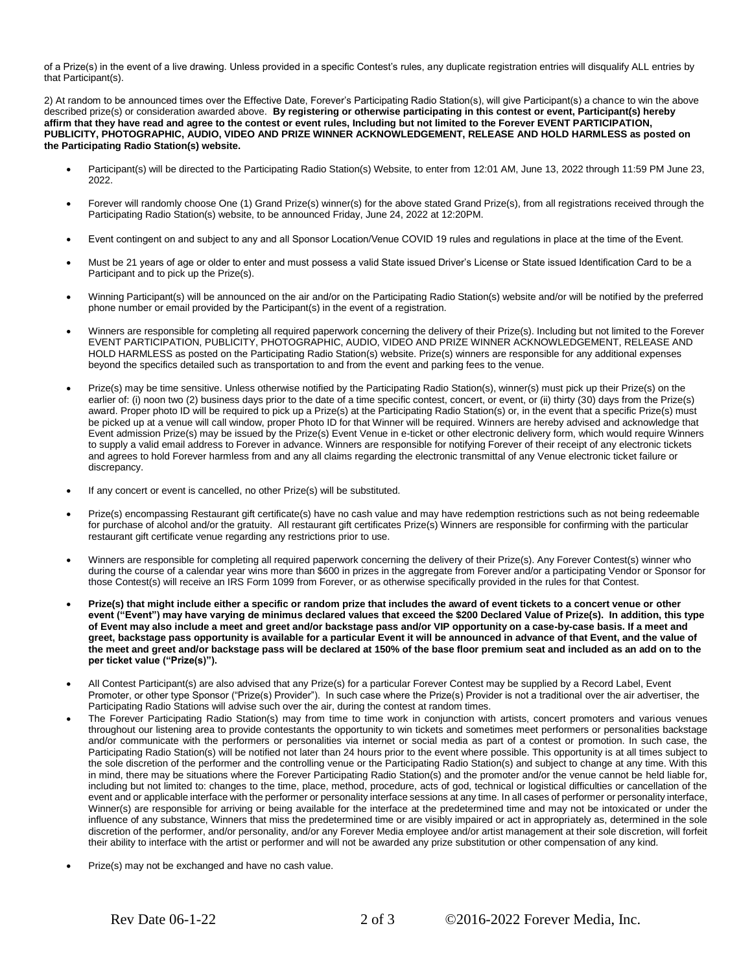of a Prize(s) in the event of a live drawing. Unless provided in a specific Contest's rules, any duplicate registration entries will disqualify ALL entries by that Participant(s).

2) At random to be announced times over the Effective Date, Forever's Participating Radio Station(s), will give Participant(s) a chance to win the above described prize(s) or consideration awarded above. **By registering or otherwise participating in this contest or event, Participant(s) hereby affirm that they have read and agree to the contest or event rules, Including but not limited to the Forever EVENT PARTICIPATION, PUBLICITY, PHOTOGRAPHIC, AUDIO, VIDEO AND PRIZE WINNER ACKNOWLEDGEMENT, RELEASE AND HOLD HARMLESS as posted on the Participating Radio Station(s) website.**

- Participant(s) will be directed to the Participating Radio Station(s) Website, to enter from 12:01 AM, June 13, 2022 through 11:59 PM June 23, 2022.
- Forever will randomly choose One (1) Grand Prize(s) winner(s) for the above stated Grand Prize(s), from all registrations received through the Participating Radio Station(s) website, to be announced Friday, June 24, 2022 at 12:20PM.
- Event contingent on and subject to any and all Sponsor Location/Venue COVID 19 rules and regulations in place at the time of the Event.
- Must be 21 years of age or older to enter and must possess a valid State issued Driver's License or State issued Identification Card to be a Participant and to pick up the Prize(s).
- Winning Participant(s) will be announced on the air and/or on the Participating Radio Station(s) website and/or will be notified by the preferred phone number or email provided by the Participant(s) in the event of a registration.
- Winners are responsible for completing all required paperwork concerning the delivery of their Prize(s). Including but not limited to the Forever EVENT PARTICIPATION, PUBLICITY, PHOTOGRAPHIC, AUDIO, VIDEO AND PRIZE WINNER ACKNOWLEDGEMENT, RELEASE AND HOLD HARMLESS as posted on the Participating Radio Station(s) website. Prize(s) winners are responsible for any additional expenses beyond the specifics detailed such as transportation to and from the event and parking fees to the venue.
- Prize(s) may be time sensitive. Unless otherwise notified by the Participating Radio Station(s), winner(s) must pick up their Prize(s) on the earlier of: (i) noon two (2) business days prior to the date of a time specific contest, concert, or event, or (ii) thirty (30) days from the Prize(s) award. Proper photo ID will be required to pick up a Prize(s) at the Participating Radio Station(s) or, in the event that a specific Prize(s) must be picked up at a venue will call window, proper Photo ID for that Winner will be required. Winners are hereby advised and acknowledge that Event admission Prize(s) may be issued by the Prize(s) Event Venue in e-ticket or other electronic delivery form, which would require Winners to supply a valid email address to Forever in advance. Winners are responsible for notifying Forever of their receipt of any electronic tickets and agrees to hold Forever harmless from and any all claims regarding the electronic transmittal of any Venue electronic ticket failure or discrepancy.
- If any concert or event is cancelled, no other Prize(s) will be substituted.
- Prize(s) encompassing Restaurant gift certificate(s) have no cash value and may have redemption restrictions such as not being redeemable for purchase of alcohol and/or the gratuity. All restaurant gift certificates Prize(s) Winners are responsible for confirming with the particular restaurant gift certificate venue regarding any restrictions prior to use.
- Winners are responsible for completing all required paperwork concerning the delivery of their Prize(s). Any Forever Contest(s) winner who during the course of a calendar year wins more than \$600 in prizes in the aggregate from Forever and/or a participating Vendor or Sponsor for those Contest(s) will receive an IRS Form 1099 from Forever, or as otherwise specifically provided in the rules for that Contest.
- **Prize(s) that might include either a specific or random prize that includes the award of event tickets to a concert venue or other event ("Event") may have varying de minimus declared values that exceed the \$200 Declared Value of Prize(s). In addition, this type of Event may also include a meet and greet and/or backstage pass and/or VIP opportunity on a case-by-case basis. If a meet and greet, backstage pass opportunity is available for a particular Event it will be announced in advance of that Event, and the value of the meet and greet and/or backstage pass will be declared at 150% of the base floor premium seat and included as an add on to the per ticket value ("Prize(s)").**
- All Contest Participant(s) are also advised that any Prize(s) for a particular Forever Contest may be supplied by a Record Label, Event Promoter, or other type Sponsor ("Prize(s) Provider"). In such case where the Prize(s) Provider is not a traditional over the air advertiser, the Participating Radio Stations will advise such over the air, during the contest at random times.
- The Forever Participating Radio Station(s) may from time to time work in conjunction with artists, concert promoters and various venues throughout our listening area to provide contestants the opportunity to win tickets and sometimes meet performers or personalities backstage and/or communicate with the performers or personalities via internet or social media as part of a contest or promotion. In such case, the Participating Radio Station(s) will be notified not later than 24 hours prior to the event where possible. This opportunity is at all times subject to the sole discretion of the performer and the controlling venue or the Participating Radio Station(s) and subject to change at any time. With this in mind, there may be situations where the Forever Participating Radio Station(s) and the promoter and/or the venue cannot be held liable for, including but not limited to: changes to the time, place, method, procedure, acts of god, technical or logistical difficulties or cancellation of the event and or applicable interface with the performer or personality interface sessions at any time. In all cases of performer or personality interface, Winner(s) are responsible for arriving or being available for the interface at the predetermined time and may not be intoxicated or under the influence of any substance, Winners that miss the predetermined time or are visibly impaired or act in appropriately as, determined in the sole discretion of the performer, and/or personality, and/or any Forever Media employee and/or artist management at their sole discretion, will forfeit their ability to interface with the artist or performer and will not be awarded any prize substitution or other compensation of any kind.
- Prize(s) may not be exchanged and have no cash value.